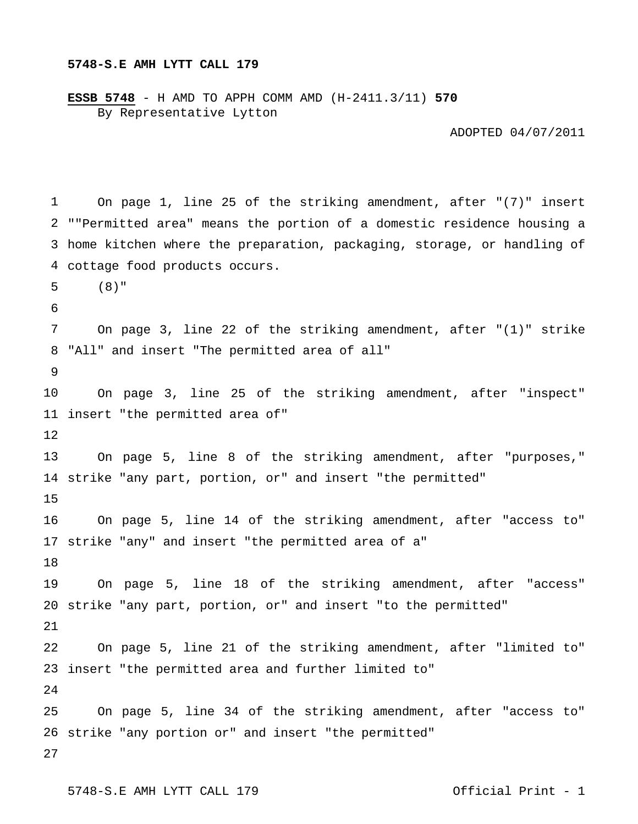## **5748-S.E AMH LYTT CALL 179**

**ESSB 5748** - H AMD TO APPH COMM AMD (H-2411.3/11) **570** By Representative Lytton

ADOPTED 04/07/2011

```
1 
 2 
""Permitted area" means the portion of a domestic residence housing a 
 3 
home kitchen where the preparation, packaging, storage, or handling of 
 4 
cottage food products occurs. 
 5 
 6 
 7 
 8 
 9 
10 
11 
insert "the permitted area of" 
12 
13 
14 
strike "any part, portion, or" and insert "the permitted" 
15 
16 
17 
strike "any" and insert "the permitted area of a" 
18 
19 
20 
strike "any part, portion, or" and insert "to the permitted" 
21 
22 
23 
insert "the permitted area and further limited to" 
24 
25 
26 
strike "any portion or" and insert "the permitted" 27 
        On page 1, line 25 of the striking amendment, after "(7)" insert 
        (8)" 
        On page 3, line 22 of the striking amendment, after "(1)" strike 
   "All" and insert "The permitted area of all" 
        On page 3, line 25 of the striking amendment, after "inspect" 
        On page 5, line 8 of the striking amendment, after "purposes," 
        On page 5, line 14 of the striking amendment, after "access to" 
        On page 5, line 18 of the striking amendment, after "access" 
        On page 5, line 21 of the striking amendment, after "limited to" 
        On page 5, line 34 of the striking amendment, after "access to"
```